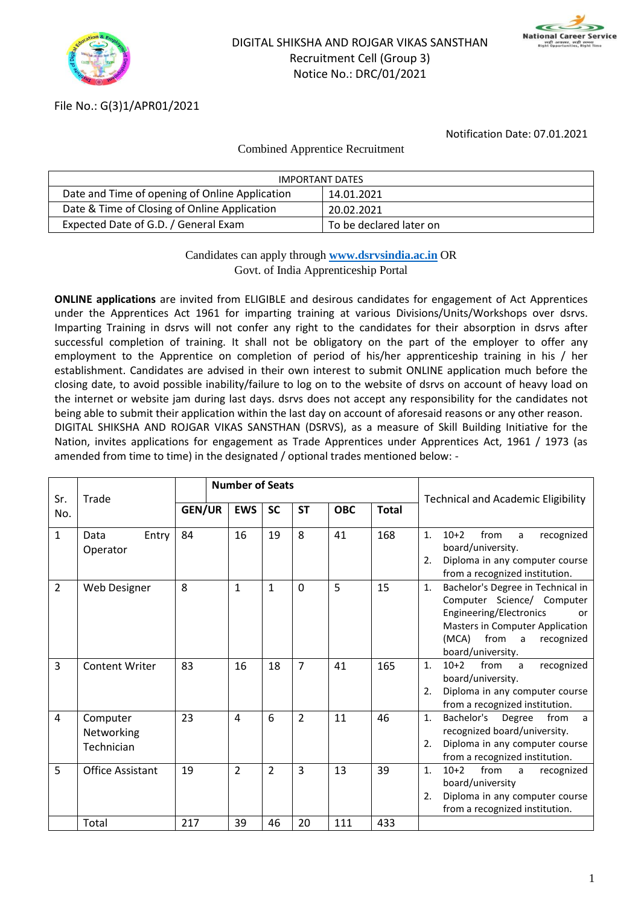



# File No.: G(3)1/APR01/2021

Notification Date: 07.01.2021

#### Combined Apprentice Recruitment

| <b>IMPORTANT DATES</b>                         |                         |  |  |  |  |  |  |
|------------------------------------------------|-------------------------|--|--|--|--|--|--|
| Date and Time of opening of Online Application | 14.01.2021              |  |  |  |  |  |  |
| Date & Time of Closing of Online Application   | 20.02.2021              |  |  |  |  |  |  |
| Expected Date of G.D. / General Exam           | To be declared later on |  |  |  |  |  |  |

# Candidates can apply through **[www.dsrvsindia.ac.in](http://www.dsrvsindia.ac.in/)** OR Govt. of India Apprenticeship Portal

**ONLINE applications** are invited from ELIGIBLE and desirous candidates for engagement of Act Apprentices under the Apprentices Act 1961 for imparting training at various Divisions/Units/Workshops over dsrvs. Imparting Training in dsrvs will not confer any right to the candidates for their absorption in dsrvs after successful completion of training. It shall not be obligatory on the part of the employer to offer any employment to the Apprentice on completion of period of his/her apprenticeship training in his / her establishment. Candidates are advised in their own interest to submit ONLINE application much before the closing date, to avoid possible inability/failure to log on to the website of dsrvs on account of heavy load on the internet or website jam during last days. dsrvs does not accept any responsibility for the candidates not being able to submit their application within the last day on account of aforesaid reasons or any other reason. DIGITAL SHIKSHA AND ROJGAR VIKAS SANSTHAN (DSRVS), as a measure of Skill Building Initiative for the Nation, invites applications for engagement as Trade Apprentices under Apprentices Act, 1961 / 1973 (as amended from time to time) in the designated / optional trades mentioned below: -

|                |                                      | <b>Number of Seats</b> |                      |                      |                      |            |              |                                                                                                                                                                                                        |
|----------------|--------------------------------------|------------------------|----------------------|----------------------|----------------------|------------|--------------|--------------------------------------------------------------------------------------------------------------------------------------------------------------------------------------------------------|
| Sr.<br>No.     | Trade                                | <b>GEN/UR</b>          | <b>EWS</b>           | <b>SC</b>            | <b>ST</b>            | <b>OBC</b> | <b>Total</b> | <b>Technical and Academic Eligibility</b>                                                                                                                                                              |
| $\mathbf{1}$   | Entry<br>Data<br>Operator            | 84                     | 16                   | 19                   | 8                    | 41         | 168          | from<br>1.<br>$10+2$<br>recognized<br>a<br>board/university.<br>Diploma in any computer course<br>2.<br>from a recognized institution.                                                                 |
| $\overline{2}$ | Web Designer                         | 8                      | $\mathbf{1}$         | $\mathbf{1}$         | $\mathbf 0$          | 5          | 15           | Bachelor's Degree in Technical in<br>1.<br>Computer Science/ Computer<br>Engineering/Electronics<br>or<br><b>Masters in Computer Application</b><br>(MCA)<br>from a<br>recognized<br>board/university. |
| 3              | <b>Content Writer</b>                | 83                     | 16                   | 18                   | $\overline{7}$       | 41         | 165          | $10+2$ from<br>recognized<br>1.<br>a a<br>board/university.<br>Diploma in any computer course<br>2.<br>from a recognized institution.                                                                  |
| 4              | Computer<br>Networking<br>Technician | 23                     | 4                    | 6                    | $\overline{2}$       | 11         | 46           | Bachelor's Degree<br>from<br>1.<br>a<br>recognized board/university.<br>Diploma in any computer course<br>2.<br>from a recognized institution.                                                         |
| 5              | <b>Office Assistant</b><br>Total     | 19<br>217              | $\overline{2}$<br>39 | $\overline{2}$<br>46 | $\overline{3}$<br>20 | 13<br>111  | 39<br>433    | from a<br>1.<br>$10+2$<br>recognized<br>board/university<br>Diploma in any computer course<br>2.<br>from a recognized institution.                                                                     |
|                |                                      |                        |                      |                      |                      |            |              |                                                                                                                                                                                                        |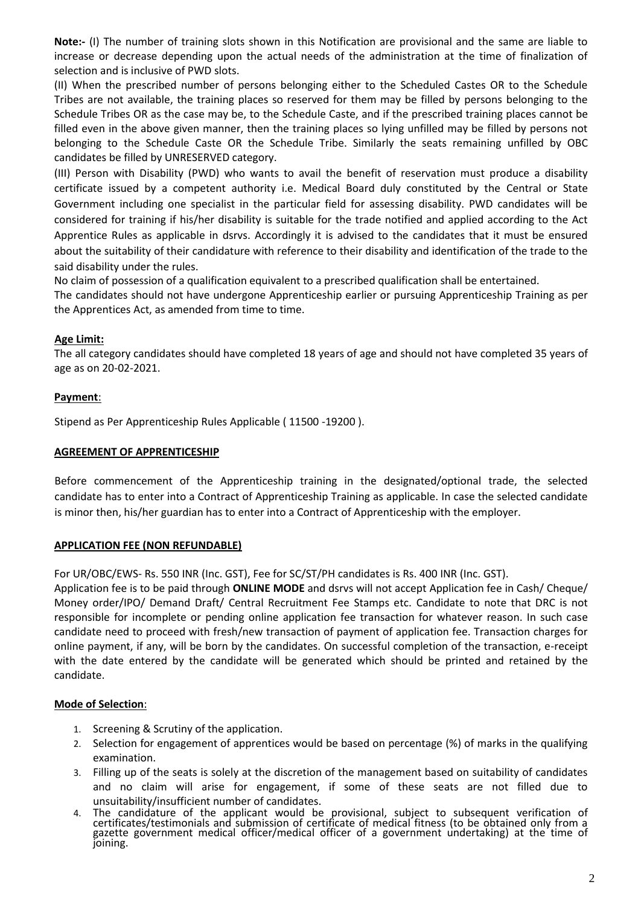**Note:-** (I) The number of training slots shown in this Notification are provisional and the same are liable to increase or decrease depending upon the actual needs of the administration at the time of finalization of selection and is inclusive of PWD slots.

(II) When the prescribed number of persons belonging either to the Scheduled Castes OR to the Schedule Tribes are not available, the training places so reserved for them may be filled by persons belonging to the Schedule Tribes OR as the case may be, to the Schedule Caste, and if the prescribed training places cannot be filled even in the above given manner, then the training places so lying unfilled may be filled by persons not belonging to the Schedule Caste OR the Schedule Tribe. Similarly the seats remaining unfilled by OBC candidates be filled by UNRESERVED category.

(III) Person with Disability (PWD) who wants to avail the benefit of reservation must produce a disability certificate issued by a competent authority i.e. Medical Board duly constituted by the Central or State Government including one specialist in the particular field for assessing disability. PWD candidates will be considered for training if his/her disability is suitable for the trade notified and applied according to the Act Apprentice Rules as applicable in dsrvs. Accordingly it is advised to the candidates that it must be ensured about the suitability of their candidature with reference to their disability and identification of the trade to the said disability under the rules.

No claim of possession of a qualification equivalent to a prescribed qualification shall be entertained. The candidates should not have undergone Apprenticeship earlier or pursuing Apprenticeship Training as per the Apprentices Act, as amended from time to time.

## **Age Limit:**

The all category candidates should have completed 18 years of age and should not have completed 35 years of age as on 20-02-2021.

#### **Payment**:

Stipend as Per Apprenticeship Rules Applicable ( 11500 -19200 ).

#### **AGREEMENT OF APPRENTICESHIP**

Before commencement of the Apprenticeship training in the designated/optional trade, the selected candidate has to enter into a Contract of Apprenticeship Training as applicable. In case the selected candidate is minor then, his/her guardian has to enter into a Contract of Apprenticeship with the employer.

## **APPLICATION FEE (NON REFUNDABLE)**

For UR/OBC/EWS- Rs. 550 INR (Inc. GST), Fee for SC/ST/PH candidates is Rs. 400 INR (Inc. GST).

Application fee is to be paid through **ONLINE MODE** and dsrvs will not accept Application fee in Cash/ Cheque/ Money order/IPO/ Demand Draft/ Central Recruitment Fee Stamps etc. Candidate to note that DRC is not responsible for incomplete or pending online application fee transaction for whatever reason. In such case candidate need to proceed with fresh/new transaction of payment of application fee. Transaction charges for online payment, if any, will be born by the candidates. On successful completion of the transaction, e-receipt with the date entered by the candidate will be generated which should be printed and retained by the candidate.

## **Mode of Selection**:

- 1. Screening & Scrutiny of the application.
- 2. Selection for engagement of apprentices would be based on percentage (%) of marks in the qualifying examination.
- 3. Filling up of the seats is solely at the discretion of the management based on suitability of candidates and no claim will arise for engagement, if some of these seats are not filled due to unsuitability/insufficient number of candidates.
- 4. The candidature of the applicant would be provisional, subject to subsequent verification of certificates/testimonials and submission of certificate of medical fitness (to be obtained only from a gazette government medical officer/medical officer of a government undertaking) at the time of joining.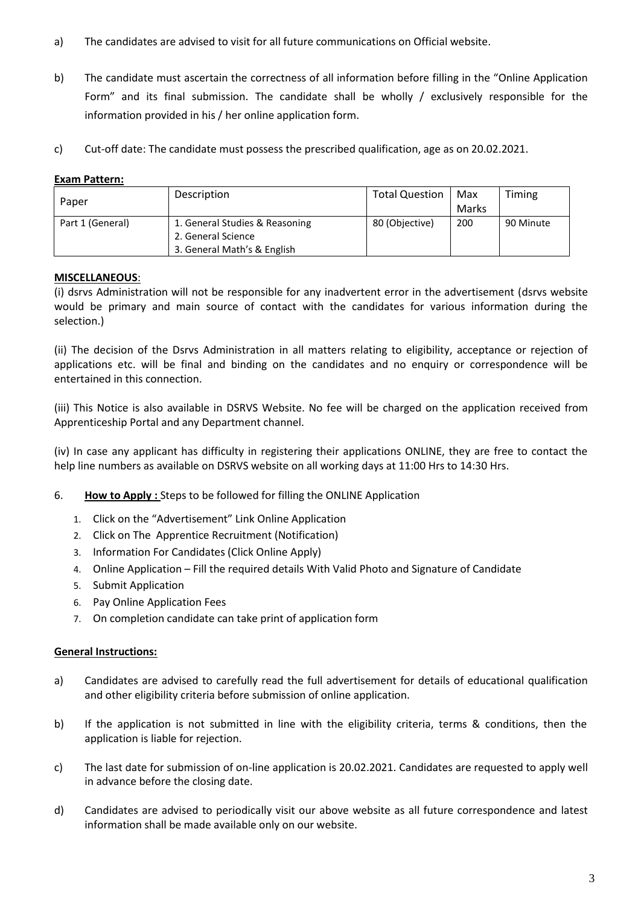- a) The candidates are advised to visit for all future communications on Official website.
- b) The candidate must ascertain the correctness of all information before filling in the "Online Application Form" and its final submission. The candidate shall be wholly / exclusively responsible for the information provided in his / her online application form.
- c) Cut-off date: The candidate must possess the prescribed qualification, age as on 20.02.2021.

# **Exam Pattern:**

| Paper            | Description                    | <b>Total Question</b> | Max   | Timing    |
|------------------|--------------------------------|-----------------------|-------|-----------|
|                  |                                |                       | Marks |           |
| Part 1 (General) | 1. General Studies & Reasoning | 80 (Objective)        | 200   | 90 Minute |
|                  | 2. General Science             |                       |       |           |
|                  | 3. General Math's & English    |                       |       |           |

## **MISCELLANEOUS**:

(i) dsrvs Administration will not be responsible for any inadvertent error in the advertisement (dsrvs website would be primary and main source of contact with the candidates for various information during the selection.)

(ii) The decision of the Dsrvs Administration in all matters relating to eligibility, acceptance or rejection of applications etc. will be final and binding on the candidates and no enquiry or correspondence will be entertained in this connection.

(iii) This Notice is also available in DSRVS Website. No fee will be charged on the application received from Apprenticeship Portal and any Department channel.

(iv) In case any applicant has difficulty in registering their applications ONLINE, they are free to contact the help line numbers as available on DSRVS website on all working days at 11:00 Hrs to 14:30 Hrs.

- 6. **How to Apply :** Steps to be followed for filling the ONLINE Application
	- 1. Click on the "Advertisement" Link Online Application
	- 2. Click on The Apprentice Recruitment (Notification)
	- 3. Information For Candidates (Click Online Apply)
	- 4. Online Application Fill the required details With Valid Photo and Signature of Candidate
	- 5. Submit Application
	- 6. Pay Online Application Fees
	- 7. On completion candidate can take print of application form

## **General Instructions:**

- a) Candidates are advised to carefully read the full advertisement for details of educational qualification and other eligibility criteria before submission of online application.
- b) If the application is not submitted in line with the eligibility criteria, terms & conditions, then the application is liable for rejection.
- c) The last date for submission of on-line application is 20.02.2021. Candidates are requested to apply well in advance before the closing date.
- d) Candidates are advised to periodically visit our above website as all future correspondence and latest information shall be made available only on our website.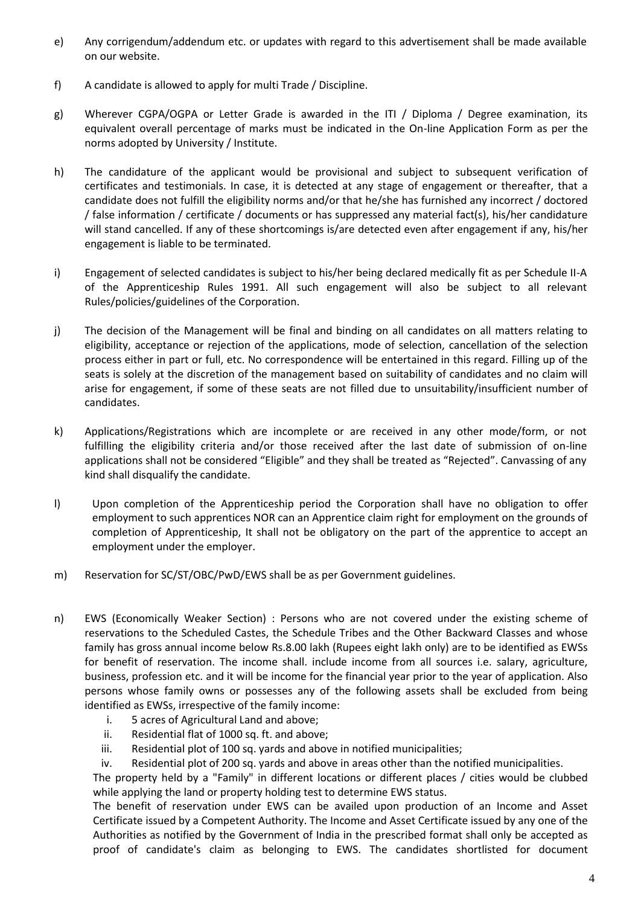- e) Any corrigendum/addendum etc. or updates with regard to this advertisement shall be made available on our website.
- f) A candidate is allowed to apply for multi Trade / Discipline.
- g) Wherever CGPA/OGPA or Letter Grade is awarded in the ITI / Diploma / Degree examination, its equivalent overall percentage of marks must be indicated in the On-line Application Form as per the norms adopted by University / Institute.
- h) The candidature of the applicant would be provisional and subject to subsequent verification of certificates and testimonials. In case, it is detected at any stage of engagement or thereafter, that a candidate does not fulfill the eligibility norms and/or that he/she has furnished any incorrect / doctored / false information / certificate / documents or has suppressed any material fact(s), his/her candidature will stand cancelled. If any of these shortcomings is/are detected even after engagement if any, his/her engagement is liable to be terminated.
- i) Engagement of selected candidates is subject to his/her being declared medically fit as per Schedule II-A of the Apprenticeship Rules 1991. All such engagement will also be subject to all relevant Rules/policies/guidelines of the Corporation.
- j) The decision of the Management will be final and binding on all candidates on all matters relating to eligibility, acceptance or rejection of the applications, mode of selection, cancellation of the selection process either in part or full, etc. No correspondence will be entertained in this regard. Filling up of the seats is solely at the discretion of the management based on suitability of candidates and no claim will arise for engagement, if some of these seats are not filled due to unsuitability/insufficient number of candidates.
- k) Applications/Registrations which are incomplete or are received in any other mode/form, or not fulfilling the eligibility criteria and/or those received after the last date of submission of on-line applications shall not be considered "Eligible" and they shall be treated as "Rejected". Canvassing of any kind shall disqualify the candidate.
- l) Upon completion of the Apprenticeship period the Corporation shall have no obligation to offer employment to such apprentices NOR can an Apprentice claim right for employment on the grounds of completion of Apprenticeship, It shall not be obligatory on the part of the apprentice to accept an employment under the employer.
- m) Reservation for SC/ST/OBC/PwD/EWS shall be as per Government guidelines.
- n) EWS (Economically Weaker Section) : Persons who are not covered under the existing scheme of reservations to the Scheduled Castes, the Schedule Tribes and the Other Backward Classes and whose family has gross annual income below Rs.8.00 lakh (Rupees eight lakh only) are to be identified as EWSs for benefit of reservation. The income shall. include income from all sources i.e. salary, agriculture, business, profession etc. and it will be income for the financial year prior to the year of application. Also persons whose family owns or possesses any of the following assets shall be excluded from being identified as EWSs, irrespective of the family income:
	- i. 5 acres of Agricultural Land and above;
	- ii. Residential flat of 1000 sq. ft. and above;
	- iii. Residential plot of 100 sq. yards and above in notified municipalities;
	- iv. Residential plot of 200 sq. yards and above in areas other than the notified municipalities.

The property held by a "Family" in different locations or different places / cities would be clubbed while applying the land or property holding test to determine EWS status.

The benefit of reservation under EWS can be availed upon production of an Income and Asset Certificate issued by a Competent Authority. The Income and Asset Certificate issued by any one of the Authorities as notified by the Government of India in the prescribed format shall only be accepted as proof of candidate's claim as belonging to EWS. The candidates shortlisted for document